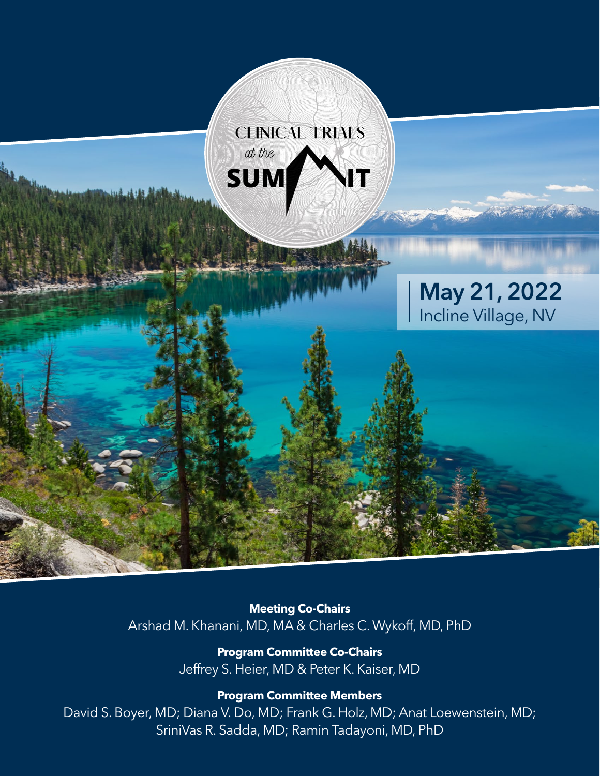

**Meeting Co-Chairs** Arshad M. Khanani, MD, MA & Charles C. Wykoff, MD, PhD

> **Program Committee Co-Chairs**  Jeffrey S. Heier, MD & Peter K. Kaiser, MD

> > **Program Committee Members**

David S. Boyer, MD; Diana V. Do, MD; Frank G. Holz, MD; Anat Loewenstein, MD; SriniVas R. Sadda, MD; Ramin Tadayoni, MD, PhD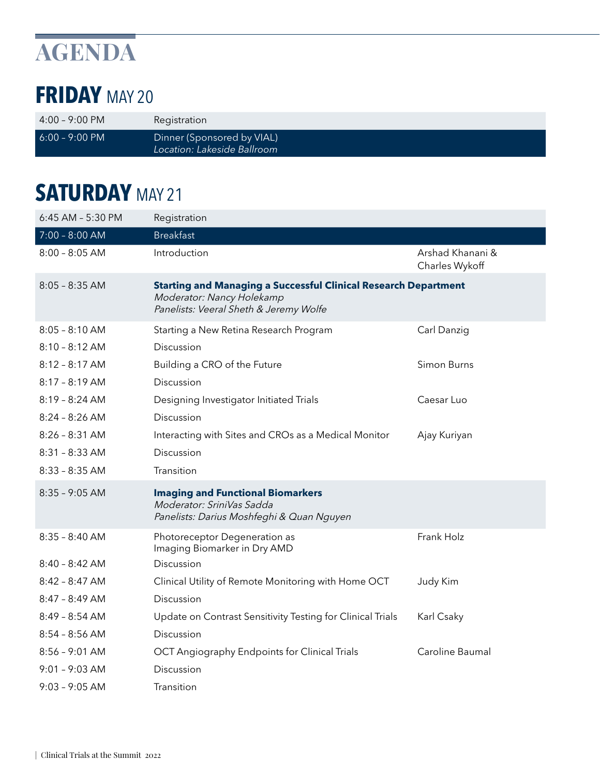# **AGENDA**

### **FRIDAY** MAY 20

| $4:00 - 9:00 \text{ PM}$ | Registration                                              |
|--------------------------|-----------------------------------------------------------|
| $6:00 - 9:00 \text{ PM}$ | Dinner (Sponsored by VIAL)<br>Location: Lakeside Ballroom |

### **SATURDAY** MAY 21

| 6:45 AM - 5:30 PM | Registration                                                                                                                                  |                                    |
|-------------------|-----------------------------------------------------------------------------------------------------------------------------------------------|------------------------------------|
| 7:00 - 8:00 AM    | <b>Breakfast</b>                                                                                                                              |                                    |
| $8:00 - 8:05$ AM  | Introduction                                                                                                                                  | Arshad Khanani &<br>Charles Wykoff |
| $8:05 - 8:35$ AM  | <b>Starting and Managing a Successful Clinical Research Department</b><br>Moderator: Nancy Holekamp<br>Panelists: Veeral Sheth & Jeremy Wolfe |                                    |
| $8:05 - 8:10$ AM  | Starting a New Retina Research Program                                                                                                        | Carl Danzig                        |
| $8:10 - 8:12$ AM  | Discussion                                                                                                                                    |                                    |
| $8:12 - 8:17$ AM  | Building a CRO of the Future                                                                                                                  | Simon Burns                        |
| $8:17 - 8:19$ AM  | Discussion                                                                                                                                    |                                    |
| $8:19 - 8:24$ AM  | Designing Investigator Initiated Trials                                                                                                       | Caesar Luo                         |
| $8:24 - 8:26$ AM  | Discussion                                                                                                                                    |                                    |
| $8:26 - 8:31$ AM  | Interacting with Sites and CROs as a Medical Monitor                                                                                          | Ajay Kuriyan                       |
| $8:31 - 8:33$ AM  | Discussion                                                                                                                                    |                                    |
| $8:33 - 8:35$ AM  | Transition                                                                                                                                    |                                    |
| $8:35 - 9:05$ AM  | <b>Imaging and Functional Biomarkers</b><br>Moderator: SriniVas Sadda<br>Panelists: Darius Moshfeghi & Quan Nguyen                            |                                    |
| $8:35 - 8:40$ AM  | Photoreceptor Degeneration as<br>Imaging Biomarker in Dry AMD                                                                                 | Frank Holz                         |
| $8:40 - 8:42$ AM  | Discussion                                                                                                                                    |                                    |
| $8:42 - 8:47$ AM  | Clinical Utility of Remote Monitoring with Home OCT                                                                                           | Judy Kim                           |
| $8:47 - 8:49$ AM  | Discussion                                                                                                                                    |                                    |
| $8:49 - 8:54 AM$  | Update on Contrast Sensitivity Testing for Clinical Trials                                                                                    | Karl Csaky                         |
| $8:54 - 8:56$ AM  | Discussion                                                                                                                                    |                                    |
| $8:56 - 9:01$ AM  | OCT Angiography Endpoints for Clinical Trials                                                                                                 | Caroline Baumal                    |
| $9:01 - 9:03$ AM  | Discussion                                                                                                                                    |                                    |
| $9:03 - 9:05$ AM  | Transition                                                                                                                                    |                                    |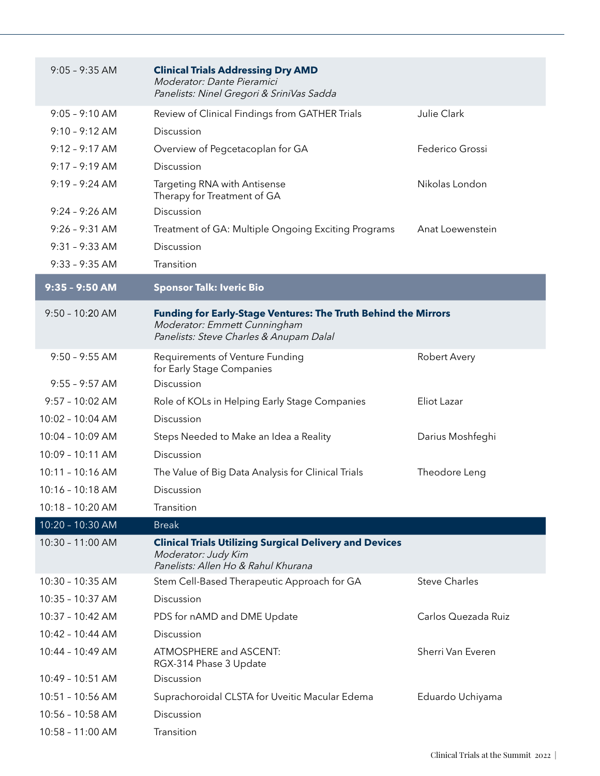| $9:05 - 9:35$ AM   | <b>Clinical Trials Addressing Dry AMD</b><br>Moderator: Dante Pieramici<br>Panelists: Ninel Gregori & SriniVas Sadda                      |                      |
|--------------------|-------------------------------------------------------------------------------------------------------------------------------------------|----------------------|
| $9:05 - 9:10$ AM   | Review of Clinical Findings from GATHER Trials                                                                                            | Julie Clark          |
| $9:10 - 9:12$ AM   | Discussion                                                                                                                                |                      |
| $9:12 - 9:17$ AM   | Overview of Pegcetacoplan for GA                                                                                                          | Federico Grossi      |
| $9:17 - 9:19$ AM   | Discussion                                                                                                                                |                      |
| $9:19 - 9:24 AM$   | Targeting RNA with Antisense<br>Therapy for Treatment of GA                                                                               | Nikolas London       |
| $9:24 - 9:26$ AM   | Discussion                                                                                                                                |                      |
| $9:26 - 9:31$ AM   | Treatment of GA: Multiple Ongoing Exciting Programs                                                                                       | Anat Loewenstein     |
| $9:31 - 9:33$ AM   | Discussion                                                                                                                                |                      |
| $9:33 - 9:35$ AM   | Transition                                                                                                                                |                      |
| 9:35 - 9:50 AM     | <b>Sponsor Talk: Iveric Bio</b>                                                                                                           |                      |
| $9:50 - 10:20$ AM  | Funding for Early-Stage Ventures: The Truth Behind the Mirrors<br>Moderator: Emmett Cunningham<br>Panelists: Steve Charles & Anupam Dalal |                      |
| $9:50 - 9:55$ AM   | Requirements of Venture Funding<br>for Early Stage Companies                                                                              | Robert Avery         |
| $9:55 - 9:57$ AM   | Discussion                                                                                                                                |                      |
| $9:57 - 10:02$ AM  | Role of KOLs in Helping Early Stage Companies                                                                                             | Eliot Lazar          |
| 10:02 - 10:04 AM   | Discussion                                                                                                                                |                      |
| 10:04 - 10:09 AM   | Steps Needed to Make an Idea a Reality                                                                                                    | Darius Moshfeghi     |
| $10:09 - 10:11$ AM | Discussion                                                                                                                                |                      |
| $10:11 - 10:16$ AM | The Value of Big Data Analysis for Clinical Trials                                                                                        | Theodore Leng        |
| 10:16 - 10:18 AM   | Discussion                                                                                                                                |                      |
| 10:18 - 10:20 AM   | Transition                                                                                                                                |                      |
| 10:20 - 10:30 AM   | <b>Break</b>                                                                                                                              |                      |
| 10:30 - 11:00 AM   | <b>Clinical Trials Utilizing Surgical Delivery and Devices</b><br>Moderator: Judy Kim<br>Panelists: Allen Ho & Rahul Khurana              |                      |
| 10:30 - 10:35 AM   | Stem Cell-Based Therapeutic Approach for GA                                                                                               | <b>Steve Charles</b> |
| 10:35 - 10:37 AM   | Discussion                                                                                                                                |                      |
| 10:37 - 10:42 AM   | PDS for nAMD and DME Update                                                                                                               | Carlos Quezada Ruiz  |
| 10:42 - 10:44 AM   | Discussion                                                                                                                                |                      |
| 10:44 - 10:49 AM   | ATMOSPHERE and ASCENT:<br>RGX-314 Phase 3 Update                                                                                          | Sherri Van Everen    |
| 10:49 - 10:51 AM   | Discussion                                                                                                                                |                      |
| 10:51 - 10:56 AM   | Suprachoroidal CLSTA for Uveitic Macular Edema                                                                                            | Eduardo Uchiyama     |
| 10:56 - 10:58 AM   | Discussion                                                                                                                                |                      |
| 10:58 - 11:00 AM   | Transition                                                                                                                                |                      |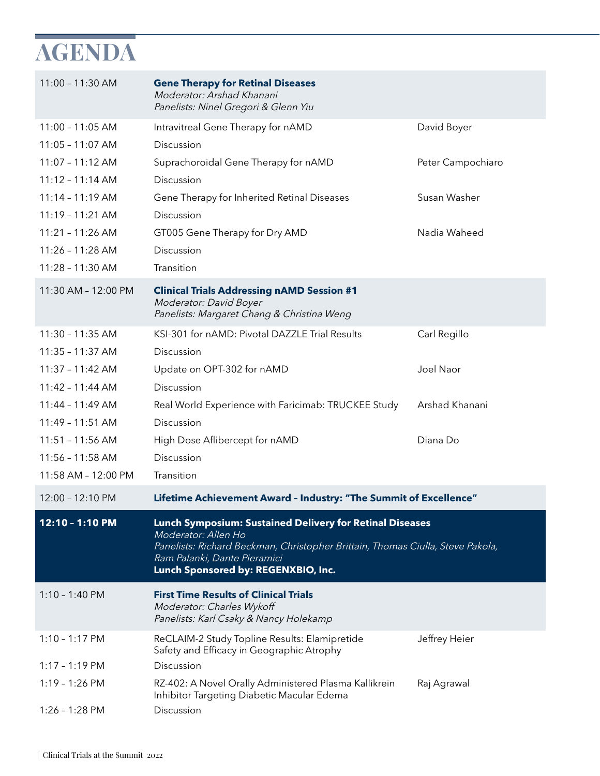## **AGENDA**

| 11:00 - 11:30 AM    | <b>Gene Therapy for Retinal Diseases</b><br>Moderator: Arshad Khanani<br>Panelists: Ninel Gregori & Glenn Yiu                                                                                                                                   |                   |
|---------------------|-------------------------------------------------------------------------------------------------------------------------------------------------------------------------------------------------------------------------------------------------|-------------------|
| $11:00 - 11:05$ AM  | Intravitreal Gene Therapy for nAMD                                                                                                                                                                                                              | David Boyer       |
| $11:05 - 11:07$ AM  | Discussion                                                                                                                                                                                                                                      |                   |
| 11:07 - 11:12 AM    | Suprachoroidal Gene Therapy for nAMD                                                                                                                                                                                                            | Peter Campochiaro |
| $11:12 - 11:14 AM$  | Discussion                                                                                                                                                                                                                                      |                   |
| $11:14 - 11:19$ AM  | Gene Therapy for Inherited Retinal Diseases                                                                                                                                                                                                     | Susan Washer      |
| 11:19 - 11:21 AM    | Discussion                                                                                                                                                                                                                                      |                   |
| 11:21 - 11:26 AM    | GT005 Gene Therapy for Dry AMD                                                                                                                                                                                                                  | Nadia Waheed      |
| 11:26 - 11:28 AM    | Discussion                                                                                                                                                                                                                                      |                   |
| 11:28 - 11:30 AM    | Transition                                                                                                                                                                                                                                      |                   |
| 11:30 AM - 12:00 PM | <b>Clinical Trials Addressing nAMD Session #1</b><br>Moderator: David Boyer<br>Panelists: Margaret Chang & Christina Weng                                                                                                                       |                   |
| 11:30 - 11:35 AM    | KSI-301 for nAMD: Pivotal DAZZLE Trial Results                                                                                                                                                                                                  | Carl Regillo      |
| 11:35 - 11:37 AM    | Discussion                                                                                                                                                                                                                                      |                   |
| 11:37 - 11:42 AM    | Update on OPT-302 for nAMD                                                                                                                                                                                                                      | Joel Naor         |
| $11:42 - 11:44 AM$  | Discussion                                                                                                                                                                                                                                      |                   |
| 11:44 - 11:49 AM    | Real World Experience with Faricimab: TRUCKEE Study                                                                                                                                                                                             | Arshad Khanani    |
| $11:49 - 11:51$ AM  | Discussion                                                                                                                                                                                                                                      |                   |
| 11:51 - 11:56 AM    | High Dose Aflibercept for nAMD                                                                                                                                                                                                                  | Diana Do          |
| 11:56 - 11:58 AM    | Discussion                                                                                                                                                                                                                                      |                   |
| 11:58 AM - 12:00 PM | Transition                                                                                                                                                                                                                                      |                   |
| 12:00 - 12:10 PM    | Lifetime Achievement Award - Industry: "The Summit of Excellence"                                                                                                                                                                               |                   |
| 12:10 - 1:10 PM     | <b>Lunch Symposium: Sustained Delivery for Retinal Diseases</b><br>Moderator: Allen Ho<br>Panelists: Richard Beckman, Christopher Brittain, Thomas Ciulla, Steve Pakola,<br>Ram Palanki, Dante Pieramici<br>Lunch Sponsored by: REGENXBIO, Inc. |                   |
| $1:10 - 1:40$ PM    | <b>First Time Results of Clinical Trials</b><br>Moderator: Charles Wykoff<br>Panelists: Karl Csaky & Nancy Holekamp                                                                                                                             |                   |
| $1:10 - 1:17$ PM    | ReCLAIM-2 Study Topline Results: Elamipretide<br>Safety and Efficacy in Geographic Atrophy                                                                                                                                                      | Jeffrey Heier     |
| $1:17 - 1:19$ PM    | Discussion                                                                                                                                                                                                                                      |                   |
| $1:19 - 1:26$ PM    | RZ-402: A Novel Orally Administered Plasma Kallikrein<br>Inhibitor Targeting Diabetic Macular Edema                                                                                                                                             | Raj Agrawal       |
| $1:26 - 1:28$ PM    | Discussion                                                                                                                                                                                                                                      |                   |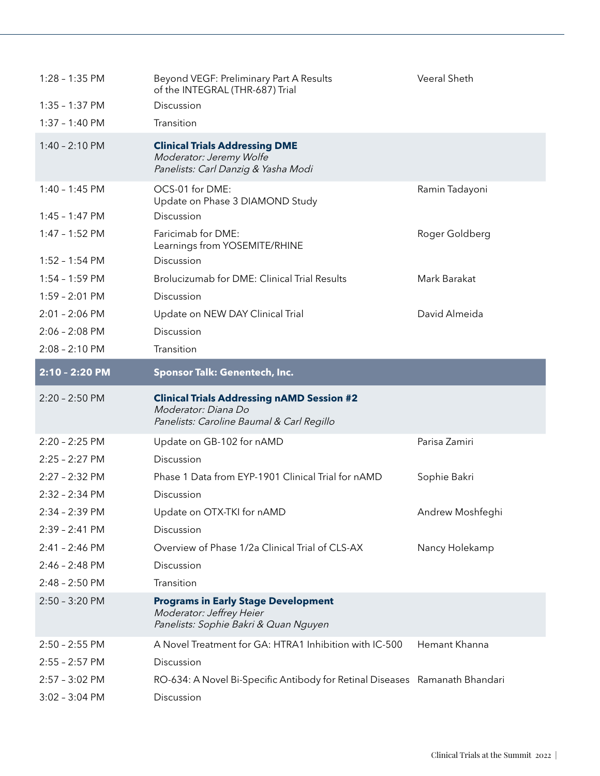| $1:28 - 1:35$ PM | Beyond VEGF: Preliminary Part A Results<br>of the INTEGRAL (THR-687) Trial                                            | Veeral Sheth     |
|------------------|-----------------------------------------------------------------------------------------------------------------------|------------------|
| $1:35 - 1:37$ PM | Discussion                                                                                                            |                  |
| $1:37 - 1:40$ PM | Transition                                                                                                            |                  |
| $1:40 - 2:10$ PM | <b>Clinical Trials Addressing DME</b><br>Moderator: Jeremy Wolfe<br>Panelists: Carl Danzig & Yasha Modi               |                  |
| $1:40 - 1:45$ PM | OCS-01 for DME:<br>Update on Phase 3 DIAMOND Study                                                                    | Ramin Tadayoni   |
| $1:45 - 1:47$ PM | Discussion                                                                                                            |                  |
| $1:47 - 1:52$ PM | Faricimab for DME:<br>Learnings from YOSEMITE/RHINE                                                                   | Roger Goldberg   |
| $1:52 - 1:54$ PM | Discussion                                                                                                            |                  |
| $1:54 - 1:59$ PM | Brolucizumab for DME: Clinical Trial Results                                                                          | Mark Barakat     |
| $1:59 - 2:01$ PM | Discussion                                                                                                            |                  |
| $2:01 - 2:06$ PM | Update on NEW DAY Clinical Trial                                                                                      | David Almeida    |
| $2:06 - 2:08$ PM | Discussion                                                                                                            |                  |
| $2:08 - 2:10$ PM | Transition                                                                                                            |                  |
| 2:10 - 2:20 PM   | <b>Sponsor Talk: Genentech, Inc.</b>                                                                                  |                  |
|                  |                                                                                                                       |                  |
| $2:20 - 2:50$ PM | <b>Clinical Trials Addressing nAMD Session #2</b><br>Moderator: Diana Do<br>Panelists: Caroline Baumal & Carl Regillo |                  |
| 2:20 - 2:25 PM   | Update on GB-102 for nAMD                                                                                             | Parisa Zamiri    |
| 2:25 - 2:27 PM   | Discussion                                                                                                            |                  |
| 2:27 - 2:32 PM   | Phase 1 Data from EYP-1901 Clinical Trial for nAMD                                                                    | Sophie Bakri     |
| 2:32 - 2:34 PM   | Discussion                                                                                                            |                  |
| 2:34 - 2:39 PM   | Update on OTX-TKI for nAMD                                                                                            | Andrew Moshfeghi |
| $2:39 - 2:41$ PM | Discussion                                                                                                            |                  |
| 2:41 - 2:46 PM   | Overview of Phase 1/2a Clinical Trial of CLS-AX                                                                       | Nancy Holekamp   |
| $2:46 - 2:48$ PM | Discussion                                                                                                            |                  |
| $2:48 - 2:50$ PM | Transition                                                                                                            |                  |
| 2:50 - 3:20 PM   | <b>Programs in Early Stage Development</b><br>Moderator: Jeffrey Heier<br>Panelists: Sophie Bakri & Quan Nguyen       |                  |
| $2:50 - 2:55$ PM | A Novel Treatment for GA: HTRA1 Inhibition with IC-500                                                                | Hemant Khanna    |
| $2:55 - 2:57$ PM | Discussion                                                                                                            |                  |
| $2:57 - 3:02$ PM | RO-634: A Novel Bi-Specific Antibody for Retinal Diseases Ramanath Bhandari                                           |                  |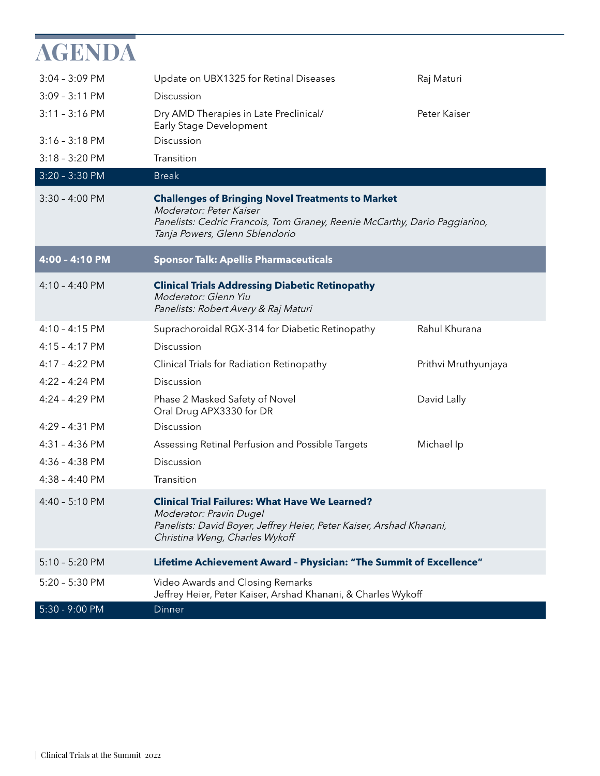| AGENDA                   |                                                                                                                                                                                                     |                      |  |
|--------------------------|-----------------------------------------------------------------------------------------------------------------------------------------------------------------------------------------------------|----------------------|--|
| $3:04 - 3:09$ PM         | Update on UBX1325 for Retinal Diseases                                                                                                                                                              | Raj Maturi           |  |
| $3:09 - 3:11$ PM         | Discussion                                                                                                                                                                                          |                      |  |
| $3:11 - 3:16$ PM         | Dry AMD Therapies in Late Preclinical/<br>Early Stage Development                                                                                                                                   | Peter Kaiser         |  |
| $3:16 - 3:18$ PM         | Discussion                                                                                                                                                                                          |                      |  |
| $3:18 - 3:20$ PM         | Transition                                                                                                                                                                                          |                      |  |
| $3:20 - 3:30$ PM         | <b>Break</b>                                                                                                                                                                                        |                      |  |
| $3:30 - 4:00$ PM         | <b>Challenges of Bringing Novel Treatments to Market</b><br>Moderator: Peter Kaiser<br>Panelists: Cedric Francois, Tom Graney, Reenie McCarthy, Dario Paggiarino,<br>Tanja Powers, Glenn Sblendorio |                      |  |
| 4:00 - 4:10 PM           | <b>Sponsor Talk: Apellis Pharmaceuticals</b>                                                                                                                                                        |                      |  |
| $4:10 - 4:40 \text{ PM}$ | <b>Clinical Trials Addressing Diabetic Retinopathy</b><br>Moderator: Glenn Yiu<br>Panelists: Robert Avery & Raj Maturi                                                                              |                      |  |
| $4:10 - 4:15$ PM         | Suprachoroidal RGX-314 for Diabetic Retinopathy                                                                                                                                                     | Rahul Khurana        |  |
| $4:15 - 4:17$ PM         | Discussion                                                                                                                                                                                          |                      |  |
| 4:17 - 4:22 PM           | Clinical Trials for Radiation Retinopathy                                                                                                                                                           | Prithvi Mruthyunjaya |  |
| 4:22 - 4:24 PM           | Discussion                                                                                                                                                                                          |                      |  |
| 4:24 - 4:29 PM           | Phase 2 Masked Safety of Novel<br>Oral Drug APX3330 for DR                                                                                                                                          | David Lally          |  |
| $4:29 - 4:31$ PM         | Discussion                                                                                                                                                                                          |                      |  |
| $4:31 - 4:36$ PM         | Assessing Retinal Perfusion and Possible Targets                                                                                                                                                    | Michael Ip           |  |
| 4:36 - 4:38 PM           | Discussion                                                                                                                                                                                          |                      |  |
| $4:38 - 4:40 \text{ PM}$ | Transition                                                                                                                                                                                          |                      |  |
| $4:40 - 5:10$ PM         | <b>Clinical Trial Failures: What Have We Learned?</b><br>Moderator: Pravin Dugel<br>Panelists: David Boyer, Jeffrey Heier, Peter Kaiser, Arshad Khanani,<br>Christina Weng, Charles Wykoff          |                      |  |
| $5:10 - 5:20$ PM         | Lifetime Achievement Award - Physician: "The Summit of Excellence"                                                                                                                                  |                      |  |
| $5:20 - 5:30$ PM         | Video Awards and Closing Remarks<br>Jeffrey Heier, Peter Kaiser, Arshad Khanani, & Charles Wykoff                                                                                                   |                      |  |
| 5:30 - 9:00 PM           | <b>Dinner</b>                                                                                                                                                                                       |                      |  |